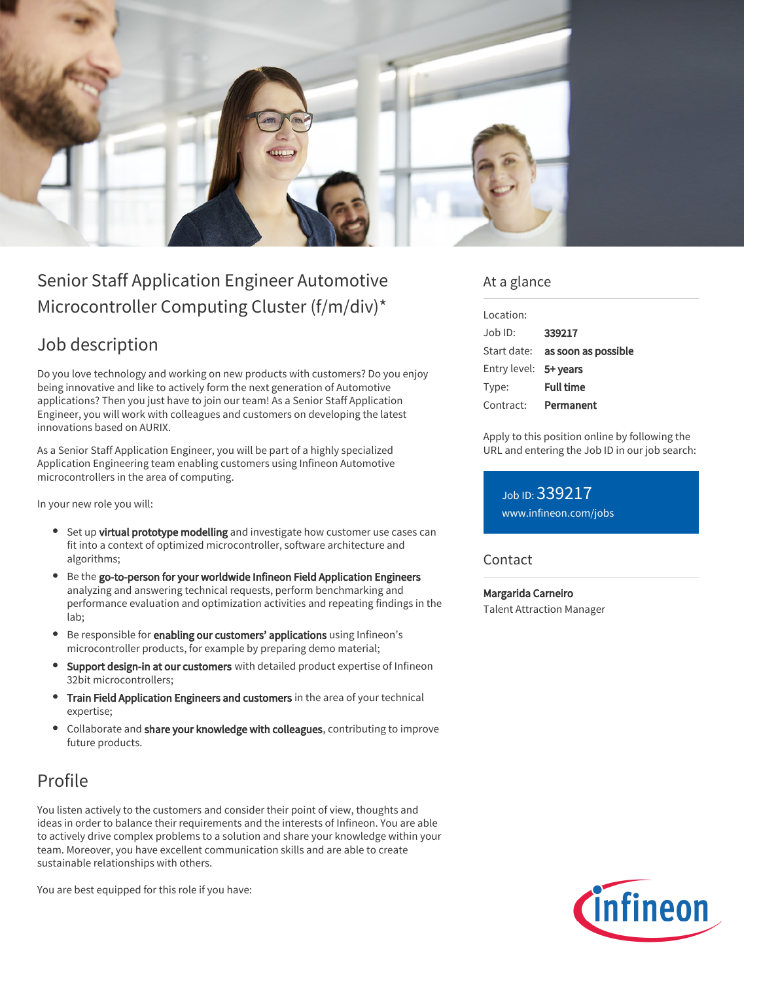

# Senior Staff Application Engineer Automotive Microcontroller Computing Cluster (f/m/div)\*

## Job description

Do you love technology and working on new products with customers? Do you enjoy being innovative and like to actively form the next generation of Automotive applications? Then you just have to join our team! As a Senior Staff Application Engineer, you will work with colleagues and customers on developing the latest innovations based on AURIX.

As a Senior Staff Application Engineer, you will be part of a highly specialized Application Engineering team enabling customers using Infineon Automotive microcontrollers in the area of computing.

In your new role you will:

- Set up virtual prototype modelling and investigate how customer use cases can fit into a context of optimized microcontroller, software architecture and algorithms;
- Be the go-to-person for your worldwide Infineon Field Application Engineers analyzing and answering technical requests, perform benchmarking and performance evaluation and optimization activities and repeating findings in the lab;
- Be responsible for enabling our customers' applications using Infineon's microcontroller products, for example by preparing demo material;
- Support design-in at our customers with detailed product expertise of Infineon 32bit microcontrollers;
- Train Field Application Engineers and customers in the area of your technical expertise;
- Collaborate and share your knowledge with colleagues, contributing to improve future products.

## Profile

You listen actively to the customers and consider their point of view, thoughts and ideas in order to balance their requirements and the interests of Infineon. You are able to actively drive complex problems to a solution and share your knowledge within your team. Moreover, you have excellent communication skills and are able to create sustainable relationships with others.

You are best equipped for this role if you have:

### At a glance

| Location:             |                                        |
|-----------------------|----------------------------------------|
| Job ID:               | 339217                                 |
|                       | Start date: <b>as soon as possible</b> |
| Entry level: 5+ years |                                        |
| Type:                 | <b>Full time</b>                       |
| Contract:             | Permanent                              |

Apply to this position online by following the URL and entering the Job ID in our job search:

Job ID: 339217 [www.infineon.com/jobs](https://www.infineon.com/jobs)

#### **Contact**

Margarida Carneiro Talent Attraction Manager